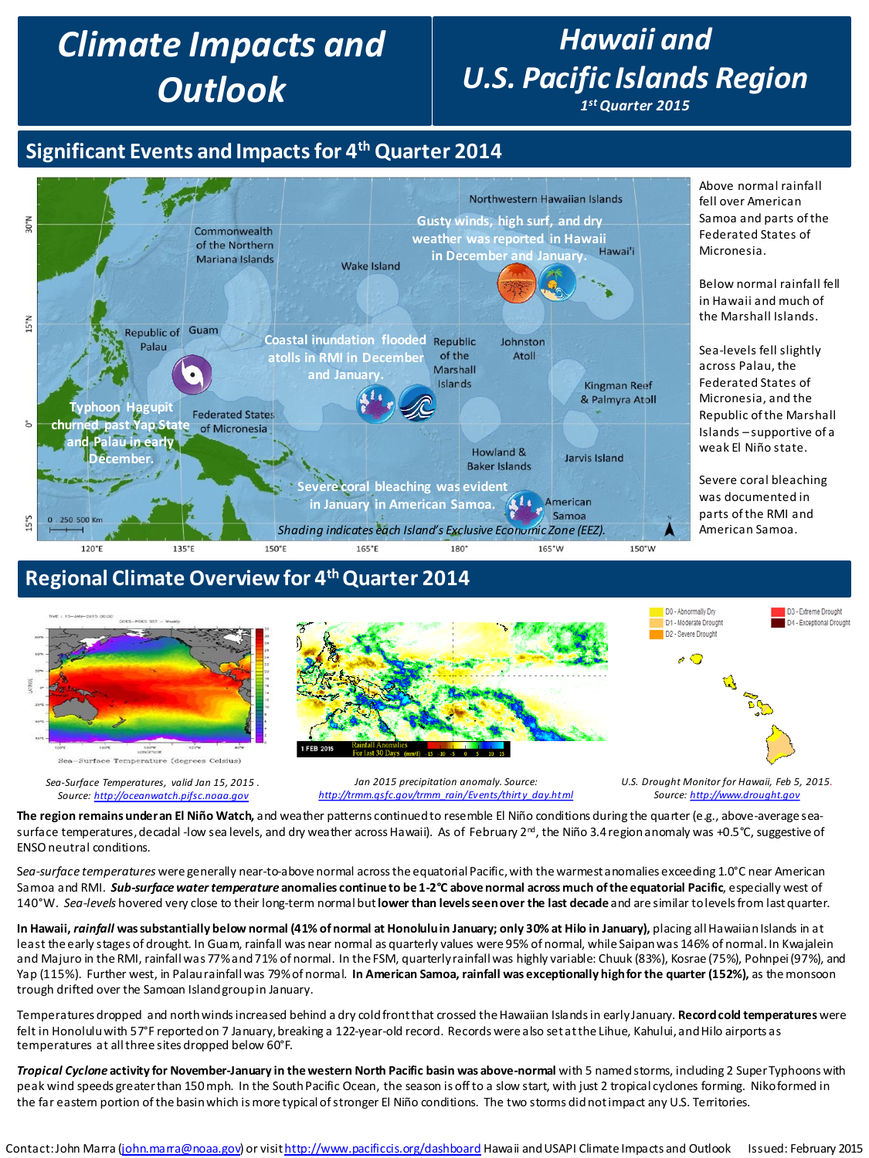# *Climate Impacts and Outlook*

# *Hawaii and U.S. Pacific Islands Region*

*1stQuarter 2015*

# **Significant Events and Impacts for 4th Quarter 2014**



## **Regional Climate Overview for 4<sup>th</sup> Quarter 2014**



**The region remains under an El Niño Watch,** and weather patterns continued to resemble El Niño conditions during the quarter (e.g., above-average seasurface temperatures, decadal -low sea levels, and dry weather across Hawaii). As of February 2<sup>nd</sup>, the Niño 3.4 region anomaly was +0.5°C, suggestive of ENSO neutral conditions.

S*ea-surface temperatures* were generally near-to-above normal across the equatorial Pacific, with the warmest anomalies exceeding 1.0°C near American Samoa and RMI. *Sub-surface water temperature* **anomalies continue to be 1-2°C above normal across much of the equatorial Pacific**, especially west of 140°W. *Sea-levels* hovered very close to their long-term normal but **lower than levels seen over the last decade** and are similar to levels from last quarter.

**In Hawaii,** *rainfall* **was substantially below normal (41% of normal at Honolulu in January; only 30% at Hilo in January),** placing all Hawaiian Islands in at least the early stages of drought. In Guam, rainfall was near normal as quarterly values were 95% of normal, while Saipan was 146% of normal. In Kwajalein and Majuro in the RMI, rainfall was 77% and 71% of normal. In the FSM, quarterly rainfall was highly variable: Chuuk (83%), Kosrae (75%), Pohnpei(97%), and Yap (115%). Further west, in Palau rainfall was 79% of normal. **In American Samoa, rainfall was exceptionally high for the quarter (152%),** as the monsoon trough drifted over the Samoan Island group in January.

Temperatures dropped and north winds increased behind a dry cold front that crossed the Hawaiian Islands in early January. **Record cold temperatures** were felt in Honolulu with 57°F reported on 7 January, breaking a 122-year-old record. Records were also set at the Lihue, Kahului, and Hilo airports as temperatures at all three sites dropped below 60°F.

*Tropical Cyclone* **activity for November-January in the western North Pacific basin was above-normal** with 5 named storms, including 2 Super Typhoons with peak wind speeds greater than 150 mph. In the South Pacific Ocean, the season is off to a slow start, with just 2 tropical cyclones forming. Niko formed in the far eastern portion of the basin which is more typical of stronger El Niño conditions. The two storms did not impact any U.S. Territories.